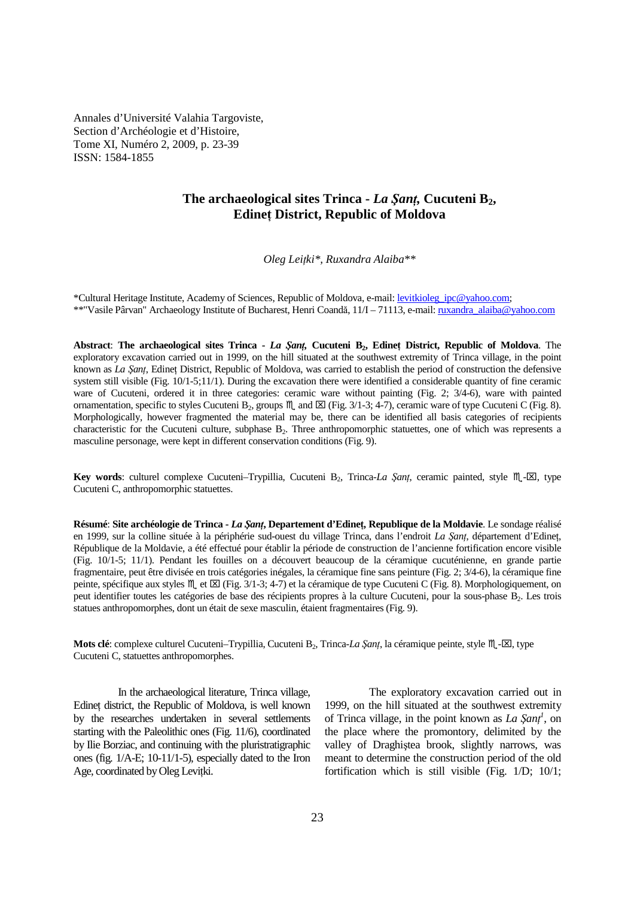Annales d'Université Valahia Targoviste, Section d'Archéologie et d'Histoire, Tome XI, Numéro 2, 2009, p. 23-39 ISSN: 1584-1855

# **The archaeological sites Trinca -** *La ŞanŃ,* **Cucuteni B2, Edinet District, Republic of Moldova**

*Oleg LeiŃki\*, Ruxandra Alaiba\*\** 

\*Cultural Heritage Institute, Academy of Sciences, Republic of Moldova, e-mail: levitkioleg\_ipc@yahoo.com; \*\*"Vasile Pârvan" Archaeology Institute of Bucharest, Henri Coandă, 11/I – 71113, e-mail: ruxandra\_alaiba@yahoo.com

Abstract: The archaeological sites Trinca - *La Şant*, Cucuteni B<sub>2</sub>, Edinet District, Republic of Moldova. The exploratory excavation carried out in 1999, on the hill situated at the southwest extremity of Trinca village, in the point known as *La Şant*, Edinet District, Republic of Moldova, was carried to establish the period of construction the defensive system still visible (Fig. 10/1-5;11/1). During the excavation there were identified a considerable quantity of fine ceramic ware of Cucuteni, ordered it in three categories: ceramic ware without painting (Fig. 2;  $3/4-6$ ), ware with painted ornamentation, specific to styles Cucuteni B<sub>2</sub>, groups  $M$  and  $\boxtimes$  (Fig. 3/1-3; 4-7), ceramic ware of type Cucuteni C (Fig. 8). Morphologically, however fragmented the material may be, there can be identified all basis categories of recipients characteristic for the Cucuteni culture, subphase  $B_2$ . Three anthropomorphic statuettes, one of which was represents a masculine personage, were kept in different conservation conditions (Fig. 9).

**Key words**: culturel complexe Cucuteni–Trypillia, Cucuteni B<sub>2</sub>, Trinca-*La Sant*, ceramic painted, style  $M \sim \mathbb{Z}$ , type Cucuteni C, anthropomorphic statuettes.

**Résumé: Site archéologie de Trinca -** *La Sant***, Departement d'Edinet, Republique de la Moldavie**. Le sondage réalisé en 1999, sur la colline située à la périphérie sud-ouest du village Trinca, dans l'endroit *La Şanț*, département d'Edinet, République de la Moldavie, a été effectué pour établir la période de construction de l'ancienne fortification encore visible (Fig. 10/1-5; 11/1). Pendant les fouilles on a découvert beaucoup de la céramique cucuténienne, en grande partie fragmentaire, peut être divisée en trois catégories inégales, la céramique fine sans peinture (Fig. 2; 3/4-6), la céramique fine peinte, spécifique aux styles  $\mathbb{M}_{\text{c}}$  et  $\boxtimes$  (Fig. 3/1-3; 4-7) et la céramique de type Cucuteni C (Fig. 8). Morphologiquement, on peut identifier toutes les catégories de base des récipients propres à la culture Cucuteni, pour la sous-phase B<sub>2</sub>. Les trois statues anthropomorphes, dont un était de sexe masculin, étaient fragmentaires (Fig. 9).

**Mots clé**: complexe culturel Cucuteni–Trypillia, Cucuteni B<sub>2</sub>, Trinca-*La Şanț*, la céramique peinte, style  $M$ -⊠, type Cucuteni C, statuettes anthropomorphes.

In the archaeological literature, Trinca village, Edinet district, the Republic of Moldova, is well known by the researches undertaken in several settlements starting with the Paleolithic ones (Fig. 11/6), coordinated by Ilie Borziac, and continuing with the pluristratigraphic ones (fig. 1/A-E; 10-11/1-5), especially dated to the Iron Age, coordinated by Oleg Levitki.

The exploratory excavation carried out in 1999, on the hill situated at the southwest extremity of Trinca village, in the point known as  $La$   $\zeta$ *ant*<sup>*l*</sup>, on the place where the promontory, delimited by the valley of Draghiştea brook, slightly narrows, was meant to determine the construction period of the old fortification which is still visible (Fig. 1/D; 10/1;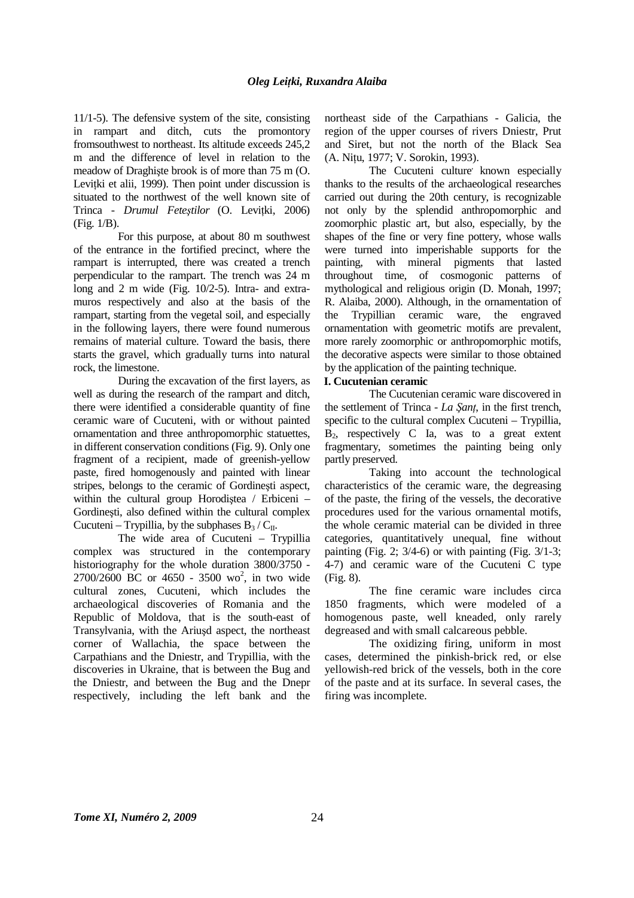11/1-5). The defensive system of the site, consisting in rampart and ditch, cuts the promontory fromsouthwest to northeast. Its altitude exceeds 245,2 m and the difference of level in relation to the meadow of Draghişte brook is of more than 75 m (O. Levitki et alii, 1999). Then point under discussion is situated to the northwest of the well known site of Trinca - *Drumul Fetestilor* (O. Levitki, 2006) (Fig. 1/B).

For this purpose, at about 80 m southwest of the entrance in the fortified precinct, where the rampart is interrupted, there was created a trench perpendicular to the rampart. The trench was 24 m long and 2 m wide (Fig. 10/2-5). Intra- and extramuros respectively and also at the basis of the rampart, starting from the vegetal soil, and especially in the following layers, there were found numerous remains of material culture. Toward the basis, there starts the gravel, which gradually turns into natural rock, the limestone.

During the excavation of the first layers, as well as during the research of the rampart and ditch, there were identified a considerable quantity of fine ceramic ware of Cucuteni, with or without painted ornamentation and three anthropomorphic statuettes, in different conservation conditions (Fig. 9). Only one fragment of a recipient, made of greenish-yellow paste, fired homogenously and painted with linear stripes, belongs to the ceramic of Gordineşti aspect, within the cultural group Horodiştea / Erbiceni – Gordineşti, also defined within the cultural complex Cucuteni – Trypillia, by the subphases  $B_3 / C_{II}$ .

The wide area of Cucuteni – Trypillia complex was structured in the contemporary historiography for the whole duration 3800/3750 -  $2700/2600$  BC or 4650 - 3500 wo<sup>2</sup>, in two wide cultural zones, Cucuteni*,* which includes the archaeological discoveries of Romania and the Republic of Moldova, that is the south-east of Transylvania, with the Ariuşd aspect, the northeast corner of Wallachia, the space between the Carpathians and the Dniestr, and Trypillia, with the discoveries in Ukraine, that is between the Bug and the Dniestr, and between the Bug and the Dnepr respectively, including the left bank and the

northeast side of the Carpathians - Galicia, the region of the upper courses of rivers Dniestr, Prut and Siret, but not the north of the Black Sea (A. Nitu, 1977; V. Sorokin, 1993).

The Cucuteni culture known especially thanks to the results of the archaeological researches carried out during the 20th century, is recognizable not only by the splendid anthropomorphic and zoomorphic plastic art, but also, especially, by the shapes of the fine or very fine pottery, whose walls were turned into imperishable supports for the painting, with mineral pigments that lasted throughout time, of cosmogonic patterns of mythological and religious origin (D. Monah, 1997; R. Alaiba, 2000). Although, in the ornamentation of the Trypillian ceramic ware, the engraved ornamentation with geometric motifs are prevalent, more rarely zoomorphic or anthropomorphic motifs, the decorative aspects were similar to those obtained by the application of the painting technique.

# **I. Cucutenian ceramic**

The Cucutenian ceramic ware discovered in the settlement of Trinca - *La Sant*, in the first trench, specific to the cultural complex Cucuteni – Trypillia,  $B_2$ , respectively C Ia, was to a great extent fragmentary, sometimes the painting being only partly preserved.

Taking into account the technological characteristics of the ceramic ware, the degreasing of the paste, the firing of the vessels, the decorative procedures used for the various ornamental motifs, the whole ceramic material can be divided in three categories, quantitatively unequal, fine without painting (Fig. 2; 3/4-6) or with painting (Fig. 3/1-3; 4-7) and ceramic ware of the Cucuteni C type (Fig. 8).

The fine ceramic ware includes circa 1850 fragments, which were modeled of a homogenous paste, well kneaded, only rarely degreased and with small calcareous pebble.

The oxidizing firing, uniform in most cases, determined the pinkish-brick red, or else yellowish-red brick of the vessels, both in the core of the paste and at its surface. In several cases, the firing was incomplete.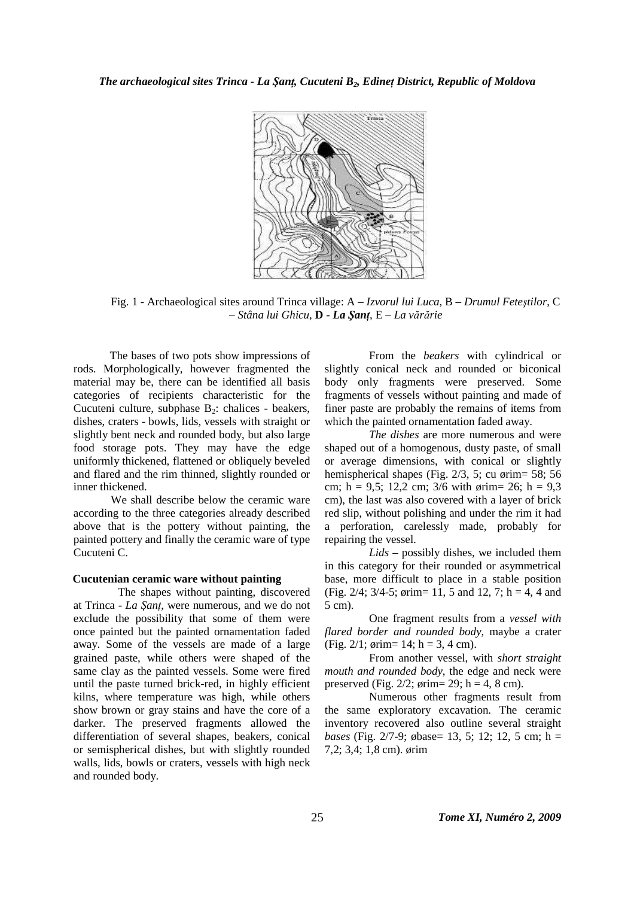

Fig. 1 - Archaeological sites around Trinca village: A – *Izvorul lui Luca*, B – *Drumul Feteştilor*, C – *Stâna lui Ghicu*, **D -** *La ŞanŃ*, E – *La vărărie*

The bases of two pots show impressions of rods. Morphologically, however fragmented the material may be, there can be identified all basis categories of recipients characteristic for the Cucuteni culture, subphase  $B_2$ : chalices - beakers, dishes, craters - bowls, lids, vessels with straight or slightly bent neck and rounded body, but also large food storage pots. They may have the edge uniformly thickened, flattened or obliquely beveled and flared and the rim thinned, slightly rounded or inner thickened.

We shall describe below the ceramic ware according to the three categories already described above that is the pottery without painting, the painted pottery and finally the ceramic ware of type Cucuteni C.

### **Cucutenian ceramic ware without painting**

The shapes without painting, discovered at Trinca - *La Şanț*, were numerous, and we do not exclude the possibility that some of them were once painted but the painted ornamentation faded away. Some of the vessels are made of a large grained paste, while others were shaped of the same clay as the painted vessels. Some were fired until the paste turned brick-red, in highly efficient kilns, where temperature was high, while others show brown or gray stains and have the core of a darker. The preserved fragments allowed the differentiation of several shapes, beakers, conical or semispherical dishes, but with slightly rounded walls, lids, bowls or craters, vessels with high neck and rounded body.

From the *beakers* with cylindrical or slightly conical neck and rounded or biconical body only fragments were preserved. Some fragments of vessels without painting and made of finer paste are probably the remains of items from which the painted ornamentation faded away.

*The dishes* are more numerous and were shaped out of a homogenous, dusty paste, of small or average dimensions, with conical or slightly hemispherical shapes (Fig. 2/3, 5; cu ørim= 58; 56 cm; h = 9,5; 12,2 cm;  $3/6$  with  $\varphi$ rim= 26; h = 9,3 cm), the last was also covered with a layer of brick red slip, without polishing and under the rim it had a perforation, carelessly made, probably for repairing the vessel.

*Lids* – possibly dishes, we included them in this category for their rounded or asymmetrical base, more difficult to place in a stable position (Fig. 2/4; 3/4-5; ørim= 11, 5 and 12, 7; h = 4, 4 and 5 cm).

One fragment results from a *vessel with flared border and rounded body*, maybe a crater (Fig. 2/1;  $\phi$ rim= 14; h = 3, 4 cm).

From another vessel, with *short straight mouth and rounded body*, the edge and neck were preserved (Fig.  $2/2$ ;  $\varphi$ rim= 29; h = 4, 8 cm).

Numerous other fragments result from the same exploratory excavation. The ceramic inventory recovered also outline several straight *bases* (Fig. 2/7-9; øbase= 13, 5; 12; 12, 5 cm; h = 7,2; 3,4; 1,8 cm). ørim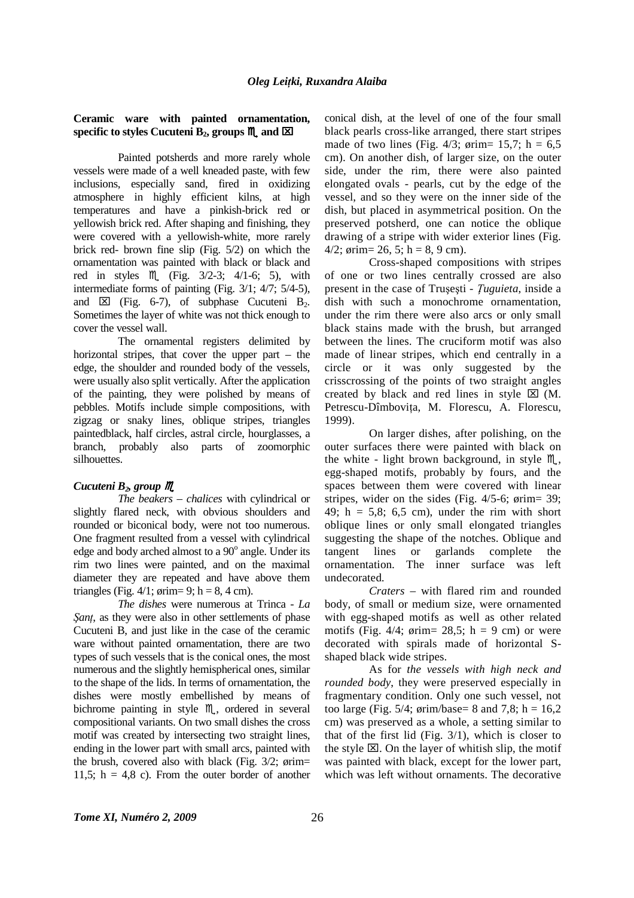# **Ceramic ware with painted ornamentation,**  specific to styles Cucuteni  $B_2$ , groups  $M$  and  $\Sigma$

Painted potsherds and more rarely whole vessels were made of a well kneaded paste, with few inclusions, especially sand, fired in oxidizing atmosphere in highly efficient kilns, at high temperatures and have a pinkish-brick red or yellowish brick red. After shaping and finishing, they were covered with a yellowish-white, more rarely brick red- brown fine slip (Fig. 5/2) on which the ornamentation was painted with black or black and red in styles  $M($  (Fig. 3/2-3; 4/1-6; 5), with intermediate forms of painting (Fig. 3/1; 4/7; 5/4-5), and  $\boxtimes$  (Fig. 6-7), of subphase Cucuteni B<sub>2</sub>. Sometimes the layer of white was not thick enough to cover the vessel wall.

The ornamental registers delimited by horizontal stripes, that cover the upper part – the edge, the shoulder and rounded body of the vessels, were usually also split vertically. After the application of the painting, they were polished by means of pebbles. Motifs include simple compositions, with zigzag or snaky lines, oblique stripes, triangles paintedblack, half circles, astral circle, hourglasses, a branch, probably also parts of zoomorphic silhouettes.

# *Cucuteni B2, group*

*The beakers – chalices* with cylindrical or slightly flared neck, with obvious shoulders and rounded or biconical body, were not too numerous. One fragment resulted from a vessel with cylindrical edge and body arched almost to a 90° angle. Under its rim two lines were painted, and on the maximal diameter they are repeated and have above them triangles (Fig.  $4/1$ ;  $\phi$ rim= 9; h = 8, 4 cm).

*The dishes* were numerous at Trinca - *La Sant*, as they were also in other settlements of phase Cucuteni B, and just like in the case of the ceramic ware without painted ornamentation, there are two types of such vessels that is the conical ones, the most numerous and the slightly hemispherical ones, similar to the shape of the lids. In terms of ornamentation, the dishes were mostly embellished by means of bichrome painting in style  $M$ , ordered in several compositional variants. On two small dishes the cross motif was created by intersecting two straight lines, ending in the lower part with small arcs, painted with the brush, covered also with black (Fig. 3/2; ørim= 11,5;  $h = 4.8$  c). From the outer border of another conical dish, at the level of one of the four small black pearls cross-like arranged, there start stripes made of two lines (Fig.  $4/3$ ;  $\varphi$ rim= 15,7; h = 6,5 cm). On another dish, of larger size, on the outer side, under the rim, there were also painted elongated ovals - pearls, cut by the edge of the vessel, and so they were on the inner side of the dish, but placed in asymmetrical position. On the preserved potsherd, one can notice the oblique drawing of a stripe with wider exterior lines (Fig. 4/2;  $\varphi$ rim= 26, 5; h = 8, 9 cm).

Cross-shaped compositions with stripes of one or two lines centrally crossed are also present in the case of Truşeşti - *ługuieta*, inside a dish with such a monochrome ornamentation, under the rim there were also arcs or only small black stains made with the brush, but arranged between the lines. The cruciform motif was also made of linear stripes, which end centrally in a circle or it was only suggested by the crisscrossing of the points of two straight angles created by black and red lines in style  $\boxtimes$  (M. Petrescu-Dîmbovita, M. Florescu, A. Florescu, 1999).

On larger dishes, after polishing, on the outer surfaces there were painted with black on the white - light brown background, in style  $M_{\alpha}$ , egg-shaped motifs, probably by fours, and the spaces between them were covered with linear stripes, wider on the sides (Fig. 4/5-6; ørim= 39; 49;  $h = 5.8$ ; 6.5 cm), under the rim with short oblique lines or only small elongated triangles suggesting the shape of the notches. Oblique and tangent lines or garlands complete the ornamentation. The inner surface was left undecorated.

*Craters* – with flared rim and rounded body, of small or medium size, were ornamented with egg-shaped motifs as well as other related motifs (Fig.  $4/4$ ; ørim= 28,5; h = 9 cm) or were decorated with spirals made of horizontal Sshaped black wide stripes.

As for *the vessels with high neck and rounded body*, they were preserved especially in fragmentary condition. Only one such vessel, not too large (Fig.  $5/4$ ;  $\sigma$ rim/base= 8 and 7.8; h = 16.2 cm) was preserved as a whole, a setting similar to that of the first lid (Fig. 3/1), which is closer to the style  $\boxtimes$ . On the layer of whitish slip, the motif was painted with black, except for the lower part, which was left without ornaments. The decorative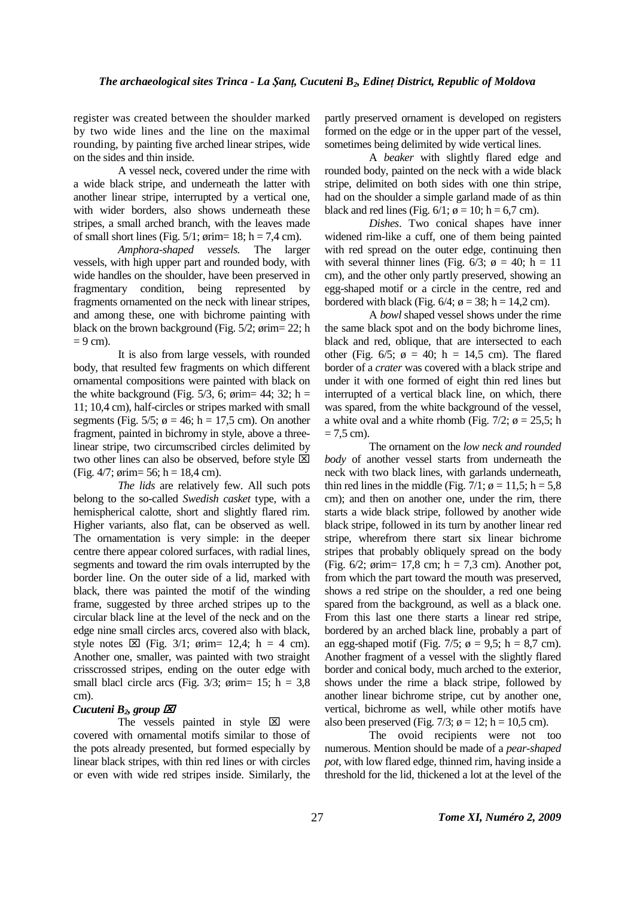register was created between the shoulder marked by two wide lines and the line on the maximal rounding, by painting five arched linear stripes, wide on the sides and thin inside.

A vessel neck, covered under the rime with a wide black stripe, and underneath the latter with another linear stripe, interrupted by a vertical one, with wider borders, also shows underneath these stripes, a small arched branch, with the leaves made of small short lines (Fig.  $5/1$ ;  $\phi$ rim= 18; h = 7,4 cm).

*Amphora-shaped vessels.* The larger vessels, with high upper part and rounded body, with wide handles on the shoulder, have been preserved in fragmentary condition, being represented by fragments ornamented on the neck with linear stripes, and among these, one with bichrome painting with black on the brown background (Fig. 5/2; ørim= 22; h  $= 9$  cm).

It is also from large vessels, with rounded body, that resulted few fragments on which different ornamental compositions were painted with black on the white background (Fig.  $5/3$ , 6; ørim= 44; 32; h = 11; 10,4 cm), half-circles or stripes marked with small segments (Fig. 5/5;  $\phi = 46$ ; h = 17,5 cm). On another fragment, painted in bichromy in style, above a threelinear stripe, two circumscribed circles delimited by two other lines can also be observed, before style  $[**×**]$ (Fig. 4/7; ørim= 56; h = 18,4 cm).

*The lids* are relatively few. All such pots belong to the so-called *Swedish casket* type, with a hemispherical calotte, short and slightly flared rim. Higher variants, also flat, can be observed as well. The ornamentation is very simple: in the deeper centre there appear colored surfaces, with radial lines, segments and toward the rim ovals interrupted by the border line. On the outer side of a lid, marked with black, there was painted the motif of the winding frame, suggested by three arched stripes up to the circular black line at the level of the neck and on the edge nine small circles arcs, covered also with black, style notes  $\boxtimes$  (Fig. 3/1; ørim= 12,4; h = 4 cm). Another one, smaller, was painted with two straight crisscrossed stripes, ending on the outer edge with small blacl circle arcs (Fig.  $3/3$ ;  $\phi$ rim= 15; h = 3,8 cm).

# *Cucuteni B2, group*

The vessels painted in style  $\boxtimes$  were covered with ornamental motifs similar to those of the pots already presented, but formed especially by linear black stripes, with thin red lines or with circles or even with wide red stripes inside. Similarly, the

partly preserved ornament is developed on registers formed on the edge or in the upper part of the vessel, sometimes being delimited by wide vertical lines.

A *beaker* with slightly flared edge and rounded body, painted on the neck with a wide black stripe, delimited on both sides with one thin stripe, had on the shoulder a simple garland made of as thin black and red lines (Fig.  $6/1$ ;  $\phi = 10$ ; h = 6,7 cm).

*Dishes*. Two conical shapes have inner widened rim-like a cuff, one of them being painted with red spread on the outer edge, continuing then with several thinner lines (Fig. 6/3;  $\phi = 40$ ; h = 11 cm), and the other only partly preserved, showing an egg-shaped motif or a circle in the centre, red and bordered with black (Fig.  $6/4$ ;  $\phi = 38$ ; h = 14,2 cm).

A *bowl* shaped vessel shows under the rime the same black spot and on the body bichrome lines, black and red, oblique, that are intersected to each other (Fig. 6/5;  $\phi = 40$ ; h = 14,5 cm). The flared border of a *crater* was covered with a black stripe and under it with one formed of eight thin red lines but interrupted of a vertical black line, on which, there was spared, from the white background of the vessel, a white oval and a white rhomb (Fig.  $7/2$ ;  $\phi = 25.5$ ; h  $= 7.5$  cm).

The ornament on the *low neck and rounded body* of another vessel starts from underneath the neck with two black lines, with garlands underneath, thin red lines in the middle (Fig.  $7/1$ ;  $\phi = 11,5$ ; h = 5,8 cm); and then on another one, under the rim, there starts a wide black stripe, followed by another wide black stripe, followed in its turn by another linear red stripe, wherefrom there start six linear bichrome stripes that probably obliquely spread on the body (Fig. 6/2; ørim= 17,8 cm; h = 7,3 cm). Another pot, from which the part toward the mouth was preserved, shows a red stripe on the shoulder, a red one being spared from the background, as well as a black one. From this last one there starts a linear red stripe, bordered by an arched black line, probably a part of an egg-shaped motif (Fig.  $7/5$ ;  $\phi = 9.5$ ; h = 8,7 cm). Another fragment of a vessel with the slightly flared border and conical body, much arched to the exterior, shows under the rime a black stripe, followed by another linear bichrome stripe, cut by another one, vertical, bichrome as well, while other motifs have also been preserved (Fig.  $7/3$ ;  $\phi = 12$ ; h = 10,5 cm).

The ovoid recipients were not too numerous. Mention should be made of a *pear-shaped pot*, with low flared edge, thinned rim, having inside a threshold for the lid, thickened a lot at the level of the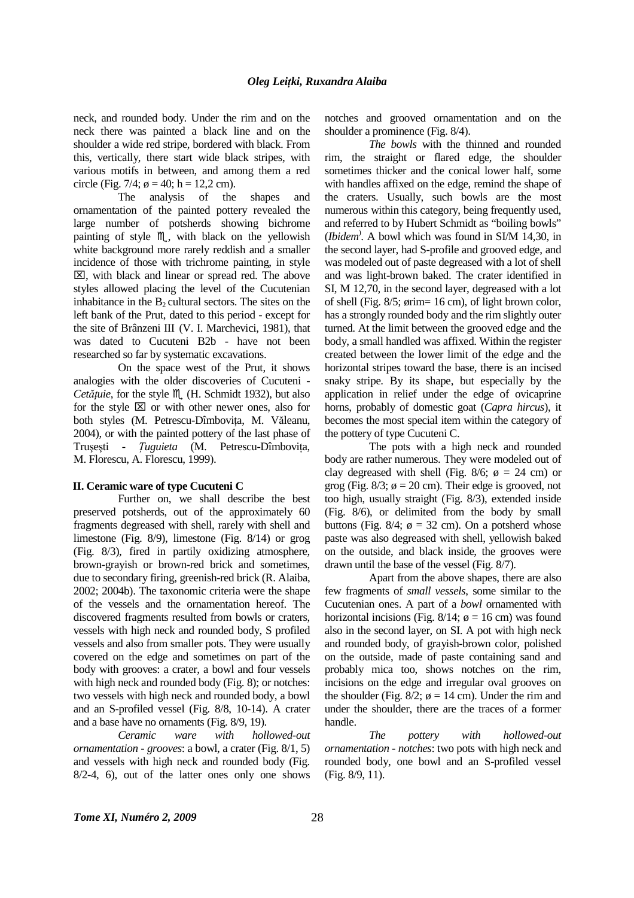neck, and rounded body. Under the rim and on the neck there was painted a black line and on the shoulder a wide red stripe, bordered with black. From this, vertically, there start wide black stripes, with various motifs in between, and among them a red circle (Fig. 7/4;  $\phi = 40$ ; h = 12,2 cm).

The analysis of the shapes and ornamentation of the painted pottery revealed the large number of potsherds showing bichrome painting of style  $M$ , with black on the yellowish white background more rarely reddish and a smaller incidence of those with trichrome painting, in style  $\boxtimes$ , with black and linear or spread red. The above styles allowed placing the level of the Cucutenian inhabitance in the  $B_2$  cultural sectors. The sites on the left bank of the Prut, dated to this period - except for the site of Brânzeni III (V. I. Marchevici, 1981), that was dated to Cucuteni B2b - have not been researched so far by systematic excavations.

On the space west of the Prut, it shows analogies with the older discoveries of Cucuteni - *Cetățuie*, for the style  $M$  (H. Schmidt 1932), but also for the style  $\boxtimes$  or with other newer ones, also for both styles (M. Petrescu-Dîmbovița, M. Văleanu, 2004), or with the painted pottery of the last phase of Trușești - *Țuguieta* (M. Petrescu-Dîmbovița, M. Florescu, A. Florescu, 1999).

#### **II. Ceramic ware of type Cucuteni C**

Further on, we shall describe the best preserved potsherds, out of the approximately 60 fragments degreased with shell, rarely with shell and limestone (Fig. 8/9), limestone (Fig. 8/14) or grog (Fig. 8/3), fired in partily oxidizing atmosphere, brown-grayish or brown-red brick and sometimes, due to secondary firing, greenish-red brick (R. Alaiba, 2002; 2004b). The taxonomic criteria were the shape of the vessels and the ornamentation hereof. The discovered fragments resulted from bowls or craters, vessels with high neck and rounded body, S profiled vessels and also from smaller pots. They were usually covered on the edge and sometimes on part of the body with grooves: a crater, a bowl and four vessels with high neck and rounded body (Fig. 8); or notches: two vessels with high neck and rounded body, a bowl and an S-profiled vessel (Fig. 8/8, 10-14). A crater and a base have no ornaments (Fig. 8/9, 19).

*Ceramic ware with hollowed-out ornamentation - grooves*: a bowl, a crater (Fig. 8/1, 5) and vessels with high neck and rounded body (Fig. 8/2-4, 6), out of the latter ones only one shows notches and grooved ornamentation and on the shoulder a prominence (Fig. 8/4).

*The bowls* with the thinned and rounded rim, the straight or flared edge, the shoulder sometimes thicker and the conical lower half, some with handles affixed on the edge, remind the shape of the craters. Usually, such bowls are the most numerous within this category, being frequently used, and referred to by Hubert Schmidt as "boiling bowls" (*Ibidem*) . A bowl which was found in SI/M 14,30, in the second layer, had S-profile and grooved edge, and was modeled out of paste degreased with a lot of shell and was light-brown baked. The crater identified in SI, M 12,70, in the second layer, degreased with a lot of shell (Fig. 8/5; ørim= 16 cm), of light brown color, has a strongly rounded body and the rim slightly outer turned. At the limit between the grooved edge and the body, a small handled was affixed. Within the register created between the lower limit of the edge and the horizontal stripes toward the base, there is an incised snaky stripe. By its shape, but especially by the application in relief under the edge of ovicaprine horns, probably of domestic goat (*Capra hircus*), it becomes the most special item within the category of the pottery of type Cucuteni C.

The pots with a high neck and rounded body are rather numerous. They were modeled out of clay degreased with shell (Fig. 8/6;  $\phi = 24$  cm) or grog (Fig.  $8/3$ ;  $\phi = 20$  cm). Their edge is grooved, not too high, usually straight (Fig. 8/3), extended inside (Fig. 8/6), or delimited from the body by small buttons (Fig. 8/4;  $\phi = 32$  cm). On a potsherd whose paste was also degreased with shell, yellowish baked on the outside, and black inside, the grooves were drawn until the base of the vessel (Fig. 8/7).

Apart from the above shapes, there are also few fragments of *small vessels*, some similar to the Cucutenian ones. A part of a *bowl* ornamented with horizontal incisions (Fig. 8/14;  $\phi = 16$  cm) was found also in the second layer, on SI. A pot with high neck and rounded body, of grayish-brown color, polished on the outside, made of paste containing sand and probably mica too, shows notches on the rim, incisions on the edge and irregular oval grooves on the shoulder (Fig. 8/2;  $\phi = 14$  cm). Under the rim and under the shoulder, there are the traces of a former handle.

*The pottery with hollowed-out ornamentation - notches*: two pots with high neck and rounded body, one bowl and an S-profiled vessel (Fig. 8/9, 11).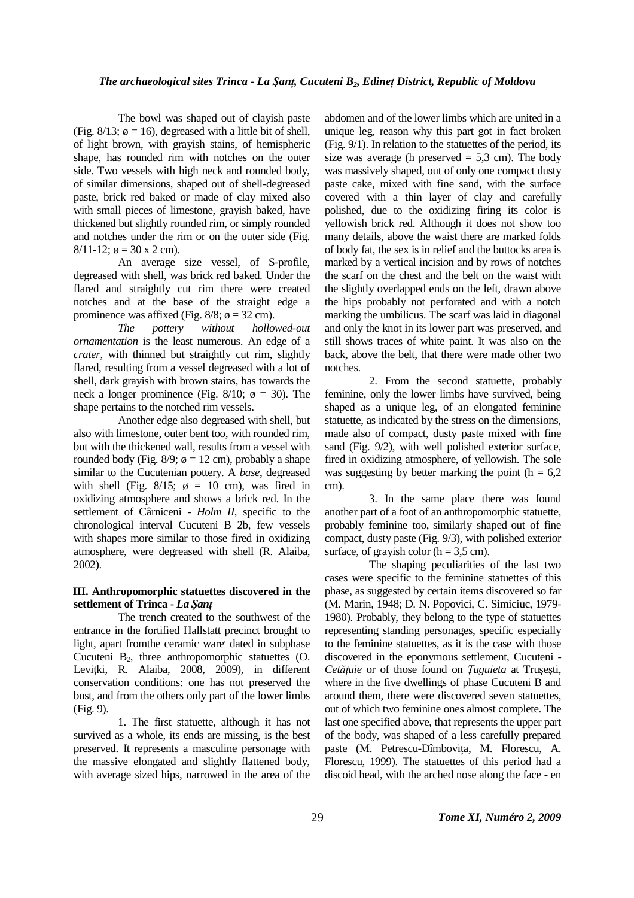The bowl was shaped out of clayish paste (Fig.  $8/13$ ;  $\phi = 16$ ), degreased with a little bit of shell, of light brown, with grayish stains, of hemispheric shape, has rounded rim with notches on the outer side. Two vessels with high neck and rounded body, of similar dimensions, shaped out of shell-degreased paste, brick red baked or made of clay mixed also with small pieces of limestone, grayish baked, have thickened but slightly rounded rim, or simply rounded and notches under the rim or on the outer side (Fig.  $8/11-12$ ;  $\phi = 30 \times 2$  cm).

An average size vessel, of S-profile, degreased with shell, was brick red baked. Under the flared and straightly cut rim there were created notches and at the base of the straight edge a prominence was affixed (Fig. 8/8;  $\phi = 32$  cm).

*The pottery without hollowed-out ornamentation* is the least numerous. An edge of a *crater*, with thinned but straightly cut rim, slightly flared, resulting from a vessel degreased with a lot of shell, dark grayish with brown stains, has towards the neck a longer prominence (Fig. 8/10;  $\phi = 30$ ). The shape pertains to the notched rim vessels.

Another edge also degreased with shell, but also with limestone, outer bent too, with rounded rim, but with the thickened wall, results from a vessel with rounded body (Fig.  $8/9$ ;  $\phi = 12$  cm), probably a shape similar to the Cucutenian pottery. A *base*, degreased with shell (Fig. 8/15;  $\phi = 10$  cm), was fired in oxidizing atmosphere and shows a brick red. In the settlement of Cârniceni - *Holm II*, specific to the chronological interval Cucuteni B 2b, few vessels with shapes more similar to those fired in oxidizing atmosphere, were degreased with shell (R. Alaiba, 2002).

# **III. Anthropomorphic statuettes discovered in the settlement of Trinca -** *La ŞanŃ*

The trench created to the southwest of the entrance in the fortified Hallstatt precinct brought to light, apart fromthe ceramic ware' dated in subphase Cucuteni  $B_2$ , three anthropomorphic statuettes  $(O.$ Levițki, R. Alaiba, 2008, 2009), in different conservation conditions: one has not preserved the bust, and from the others only part of the lower limbs (Fig. 9).

1. The first statuette, although it has not survived as a whole, its ends are missing, is the best preserved. It represents a masculine personage with the massive elongated and slightly flattened body, with average sized hips, narrowed in the area of the

abdomen and of the lower limbs which are united in a unique leg, reason why this part got in fact broken (Fig. 9/1). In relation to the statuettes of the period, its size was average (h preserved  $= 5.3$  cm). The body was massively shaped, out of only one compact dusty paste cake, mixed with fine sand, with the surface covered with a thin layer of clay and carefully polished, due to the oxidizing firing its color is yellowish brick red. Although it does not show too many details, above the waist there are marked folds of body fat, the sex is in relief and the buttocks area is marked by a vertical incision and by rows of notches the scarf on the chest and the belt on the waist with the slightly overlapped ends on the left, drawn above the hips probably not perforated and with a notch marking the umbilicus. The scarf was laid in diagonal and only the knot in its lower part was preserved, and still shows traces of white paint. It was also on the back, above the belt, that there were made other two notches.

2. From the second statuette, probably feminine, only the lower limbs have survived, being shaped as a unique leg, of an elongated feminine statuette, as indicated by the stress on the dimensions, made also of compact, dusty paste mixed with fine sand (Fig. 9/2), with well polished exterior surface, fired in oxidizing atmosphere, of yellowish. The sole was suggesting by better marking the point  $(h = 6.2$ cm).

3. In the same place there was found another part of a foot of an anthropomorphic statuette, probably feminine too, similarly shaped out of fine compact, dusty paste (Fig. 9/3), with polished exterior surface, of grayish color  $(h = 3.5 \text{ cm})$ .

The shaping peculiarities of the last two cases were specific to the feminine statuettes of this phase, as suggested by certain items discovered so far (M. Marin, 1948; D. N. Popovici, C. Simiciuc, 1979- 1980). Probably, they belong to the type of statuettes representing standing personages, specific especially to the feminine statuettes, as it is the case with those discovered in the eponymous settlement, Cucuteni - *Cetățuie* or of those found on *Įuguieta* at Trușești, where in the five dwellings of phase Cucuteni B and around them, there were discovered seven statuettes, out of which two feminine ones almost complete. The last one specified above, that represents the upper part of the body, was shaped of a less carefully prepared paste (M. Petrescu-Dîmbovița, M. Florescu, A. Florescu, 1999). The statuettes of this period had a discoid head, with the arched nose along the face - en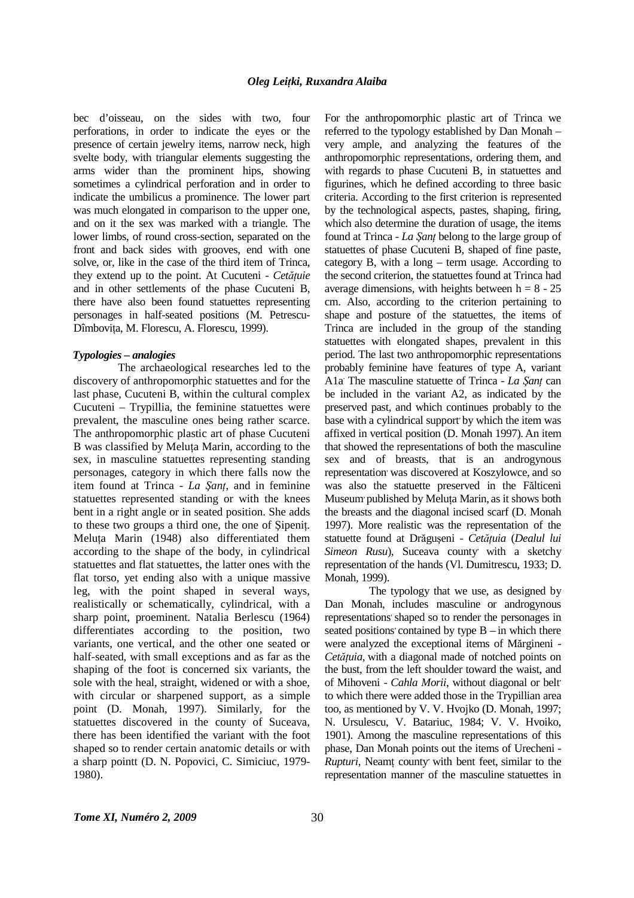bec d'oisseau, on the sides with two, four perforations, in order to indicate the eyes or the presence of certain jewelry items, narrow neck, high svelte body, with triangular elements suggesting the arms wider than the prominent hips, showing sometimes a cylindrical perforation and in order to indicate the umbilicus a prominence. The lower part was much elongated in comparison to the upper one, and on it the sex was marked with a triangle. The lower limbs, of round cross-section, separated on the front and back sides with grooves, end with one solve, or, like in the case of the third item of Trinca, they extend up to the point. At Cucuteni - *Cetătuie* and in other settlements of the phase Cucuteni B, there have also been found statuettes representing personages in half-seated positions (M. Petrescu-Dîmbovița, M. Florescu, A. Florescu, 1999).

#### *Typologies – analogies*

The archaeological researches led to the discovery of anthropomorphic statuettes and for the last phase, Cucuteni B, within the cultural complex Cucuteni – Trypillia, the feminine statuettes were prevalent, the masculine ones being rather scarce. The anthropomorphic plastic art of phase Cucuteni B was classified by Meluța Marin, according to the sex, in masculine statuettes representing standing personages, category in which there falls now the item found at Trinca - *La Sant*, and in feminine statuettes represented standing or with the knees bent in a right angle or in seated position. She adds to these two groups a third one, the one of Sipenit. Meluta Marin (1948) also differentiated them according to the shape of the body, in cylindrical statuettes and flat statuettes, the latter ones with the flat torso, yet ending also with a unique massive leg, with the point shaped in several ways, realistically or schematically, cylindrical, with a sharp point, proeminent. Natalia Berlescu (1964) differentiates according to the position, two variants, one vertical, and the other one seated or half-seated, with small exceptions and as far as the shaping of the foot is concerned six variants, the sole with the heal, straight, widened or with a shoe, with circular or sharpened support, as a simple point (D. Monah, 1997). Similarly, for the statuettes discovered in the county of Suceava, there has been identified the variant with the foot shaped so to render certain anatomic details or with a sharp pointt (D. N. Popovici, C. Simiciuc, 1979- 1980).

For the anthropomorphic plastic art of Trinca we referred to the typology established by Dan Monah – very ample, and analyzing the features of the anthropomorphic representations, ordering them, and with regards to phase Cucuteni B, in statuettes and figurines, which he defined according to three basic criteria. According to the first criterion is represented by the technological aspects, pastes, shaping, firing, which also determine the duration of usage, the items found at Trinca - *La Şant* belong to the large group of statuettes of phase Cucuteni B, shaped of fine paste, category B, with a long – term usage. According to the second criterion, the statuettes found at Trinca had average dimensions, with heights between  $h = 8 - 25$ cm. Also, according to the criterion pertaining to shape and posture of the statuettes, the items of Trinca are included in the group of the standing statuettes with elongated shapes, prevalent in this period. The last two anthropomorphic representations probably feminine have features of type A, variant A1a The masculine statuette of Trinca - *La Şanț* can be included in the variant A2, as indicated by the preserved past, and which continues probably to the base with a cylindrical support by which the item was affixed in vertical position (D. Monah 1997). An item that showed the representations of both the masculine sex and of breasts, that is an androgynous representation' was discovered at Koszylowce, and so was also the statuette preserved in the Fălticeni Museum published by Meluta Marin, as it shows both the breasts and the diagonal incised scarf (D. Monah 1997). More realistic was the representation of the statuette found at Drăgușeni - Cetătuia (Dealul lui Simeon Rusu), Suceava county with a sketchy representation of the hands (Vl. Dumitrescu, 1933; D. Monah*,* 1999).

The typology that we use, as designed by Dan Monah, includes masculine or androgynous representations' shaped so to render the personages in seated positions' contained by type  $B - in$  which there were analyzed the exceptional items of Mărgineni - *Cetățuia*, with a diagonal made of notched points on the bust, from the left shoulder toward the waist, and of Mihoveni - *Cahla Morii*, without diagonal or belt<sup>'</sup> to which there were added those in the Trypillian area too, as mentioned by V. V. Hvojko (D. Monah, 1997; N. Ursulescu, V. Batariuc, 1984; V. V. Hvoiko, 1901). Among the masculine representations of this phase, Dan Monah points out the items of Urecheni - *Rupturi*, Neamt county with bent feet, similar to the representation manner of the masculine statuettes in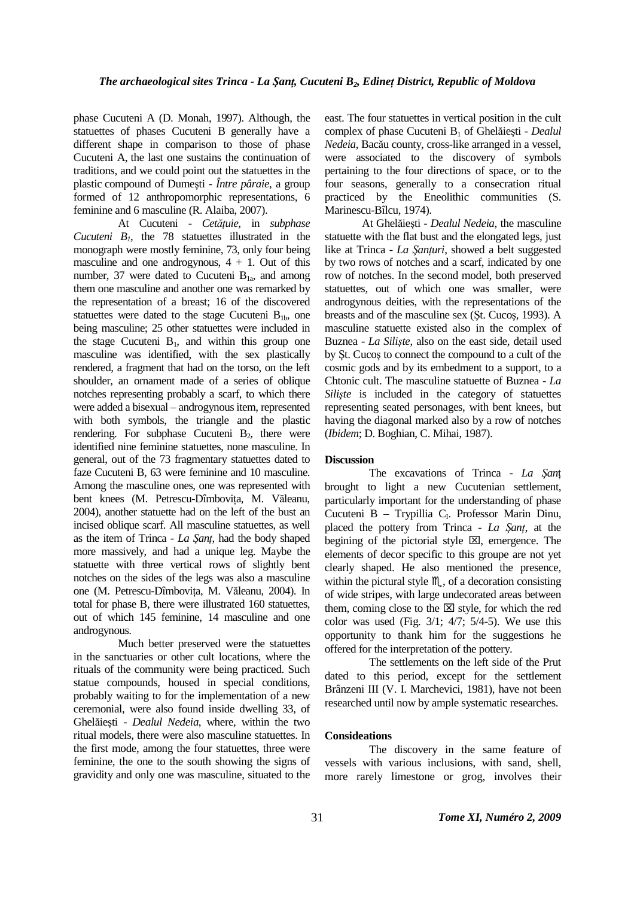phase Cucuteni A (D. Monah, 1997). Although, the statuettes of phases Cucuteni B generally have a different shape in comparison to those of phase Cucuteni A, the last one sustains the continuation of traditions, and we could point out the statuettes in the plastic compound of Dumeşti - *Între pâraie*, a group formed of 12 anthropomorphic representations, 6 feminine and 6 masculine (R. Alaiba, 2007).

At Cucuteni - *Cetățuie*, in *subphase Cucuteni B1*, the 78 statuettes illustrated in the monograph were mostly feminine, 73, only four being masculine and one androgynous,  $4 + 1$ . Out of this number, 37 were dated to Cucuteni  $B_{1a}$ , and among them one masculine and another one was remarked by the representation of a breast; 16 of the discovered statuettes were dated to the stage Cucuteni  $B_{1b}$ , one being masculine; 25 other statuettes were included in the stage Cucuteni  $B_1$ , and within this group one masculine was identified, with the sex plastically rendered, a fragment that had on the torso, on the left shoulder, an ornament made of a series of oblique notches representing probably a scarf, to which there were added a bisexual – androgynous item, represented with both symbols, the triangle and the plastic rendering. For subphase Cucuteni  $B_2$ , there were identified nine feminine statuettes, none masculine. In general, out of the 73 fragmentary statuettes dated to faze Cucuteni B, 63 were feminine and 10 masculine. Among the masculine ones, one was represented with bent knees (M. Petrescu-Dîmbovita, M. Văleanu, 2004), another statuette had on the left of the bust an incised oblique scarf. All masculine statuettes, as well as the item of Trinca - *La Sant*, had the body shaped more massively, and had a unique leg. Maybe the statuette with three vertical rows of slightly bent notches on the sides of the legs was also a masculine one (M. Petrescu-Dîmbovița, M. Văleanu, 2004). In total for phase B, there were illustrated 160 statuettes, out of which 145 feminine, 14 masculine and one androgynous.

Much better preserved were the statuettes in the sanctuaries or other cult locations, where the rituals of the community were being practiced. Such statue compounds, housed in special conditions, probably waiting to for the implementation of a new ceremonial, were also found inside dwelling 33, of Ghelăieşti - *Dealul Nedeia*, where, within the two ritual models, there were also masculine statuettes. In the first mode, among the four statuettes, three were feminine, the one to the south showing the signs of gravidity and only one was masculine, situated to the

east. The four statuettes in vertical position in the cult complex of phase Cucuteni B1 of Ghelăieşti - *Dealul Nedeia*, Bacău county, cross-like arranged in a vessel, were associated to the discovery of symbols pertaining to the four directions of space, or to the four seasons, generally to a consecration ritual practiced by the Eneolithic communities (S. Marinescu-Bîlcu, 1974).

At Ghelăieşti - *Dealul Nedeia*, the masculine statuette with the flat bust and the elongated legs, just like at Trinca - *La Şanțuri*, showed a belt suggested by two rows of notches and a scarf, indicated by one row of notches. In the second model, both preserved statuettes, out of which one was smaller, were androgynous deities, with the representations of the breasts and of the masculine sex (Şt. Cucoş, 1993). A masculine statuette existed also in the complex of Buznea - *La Silişte*, also on the east side, detail used by Şt. Cucoş to connect the compound to a cult of the cosmic gods and by its embedment to a support, to a Chtonic cult. The masculine statuette of Buznea - *La Siliste* is included in the category of statuettes representing seated personages, with bent knees, but having the diagonal marked also by a row of notches (*Ibidem*; D. Boghian, C. Mihai, 1987).

#### **Discussion**

The excavations of Trinca - *La Şan*ț brought to light a new Cucutenian settlement, particularly important for the understanding of phase Cucuteni B - Trypillia C<sub>I</sub>. Professor Marin Dinu, placed the pottery from Trinca - *La Şanț*, at the begining of the pictorial style  $\boxtimes$ , emergence. The elements of decor specific to this groupe are not yet clearly shaped. He also mentioned the presence, within the pictural style  $M$ , of a decoration consisting of wide stripes, with large undecorated areas between them, coming close to the  $\boxtimes$  style, for which the red color was used (Fig.  $3/1$ ;  $4/7$ ;  $5/4-5$ ). We use this opportunity to thank him for the suggestions he offered for the interpretation of the pottery.

The settlements on the left side of the Prut dated to this period, except for the settlement Brânzeni III (V. I. Marchevici, 1981), have not been researched until now by ample systematic researches.

#### **Consideations**

The discovery in the same feature of vessels with various inclusions, with sand, shell, more rarely limestone or grog, involves their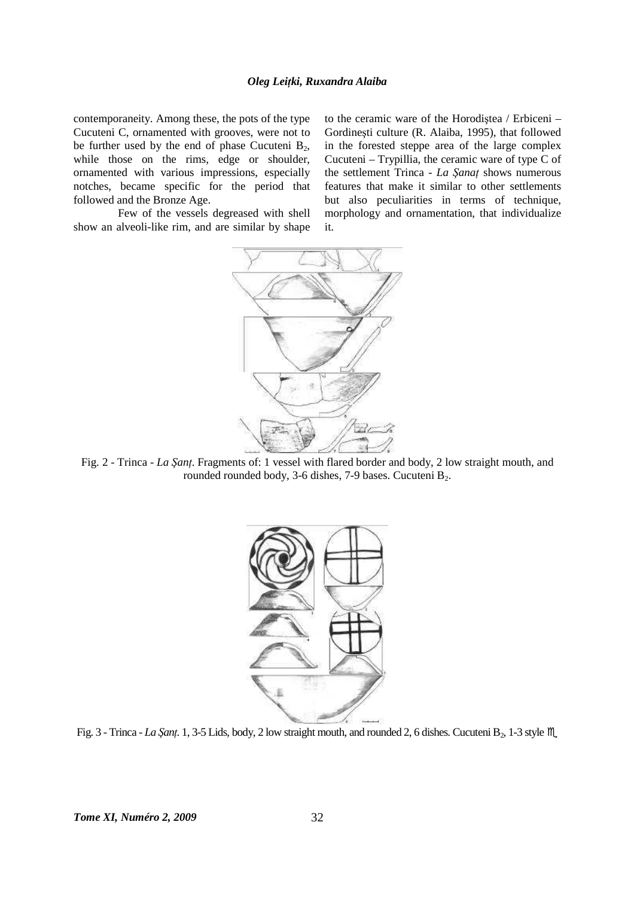contemporaneity. Among these, the pots of the type Cucuteni C, ornamented with grooves, were not to be further used by the end of phase Cucuteni  $B_2$ , while those on the rims, edge or shoulder, ornamented with various impressions, especially notches, became specific for the period that followed and the Bronze Age.

Few of the vessels degreased with shell show an alveoli-like rim, and are similar by shape to the ceramic ware of the Horodiştea / Erbiceni – Gordineşti culture (R. Alaiba, 1995), that followed in the forested steppe area of the large complex Cucuteni – Trypillia, the ceramic ware of type C of the settlement Trinca - *La Şanat* shows numerous features that make it similar to other settlements but also peculiarities in terms of technique, morphology and ornamentation, that individualize it.



Fig. 2 - Trinca - *La Şant*. Fragments of: 1 vessel with flared border and body, 2 low straight mouth, and rounded rounded body, 3-6 dishes, 7-9 bases. Cucuteni B<sub>2</sub>.



Fig. 3 - Trinca - *La Şanț*. 1, 3-5 Lids, body, 2 low straight mouth, and rounded 2, 6 dishes. Cucuteni B<sub>2</sub>, 1-3 style  $M$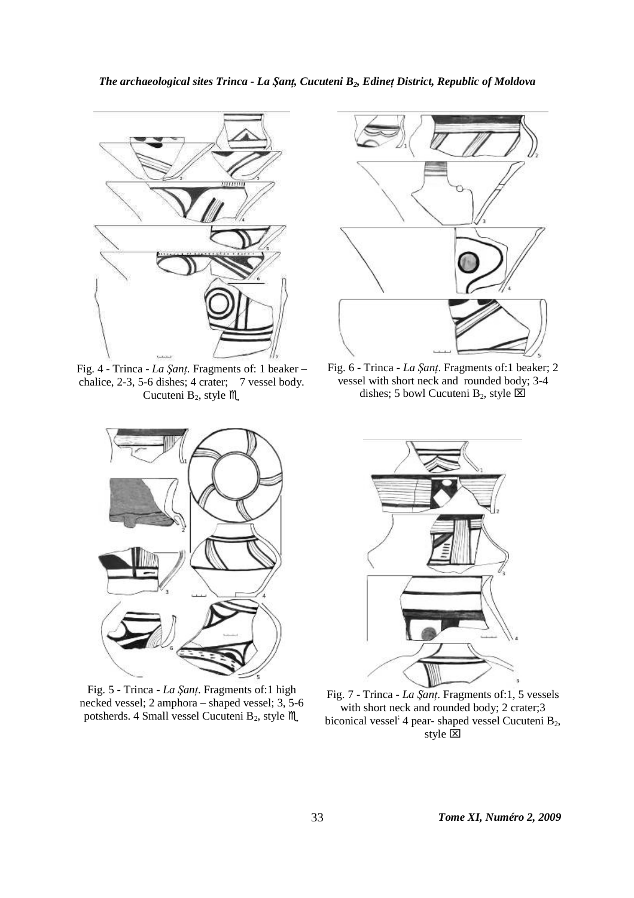# *The archaeological sites Trinca - La Şanț, Cucuteni B<sub>2</sub>, Edineț District, Republic of Moldova*



Fig. 4 - Trinca - *La Şanț*. Fragments of: 1 beaker – chalice, 2-3, 5-6 dishes; 4 crater; 7 vessel body. Cucuteni  $B_2$ , style  $M$ .



Fig. 6 - Trinca - *La Şanț*. Fragments of:1 beaker; 2 vessel with short neck and rounded body; 3-4 dishes; 5 bowl Cucuteni B<sub>2</sub>, style  $\boxtimes$ 



Fig. 5 - Trinca - *La Şanț*. Fragments of:1 high necked vessel; 2 amphora – shaped vessel; 3, 5-6 potsherds. 4 Small vessel Cucuteni B<sub>2</sub>, style  $M$ .



Fig. 7 - Trinca - *La Şanț*. Fragments of:1, 5 vessels with short neck and rounded body; 2 crater; 3 biconical vessel<sup>;</sup> 4 pear- shaped vessel Cucuteni B<sub>2</sub>, style  $\overline{\mathbf{x}}$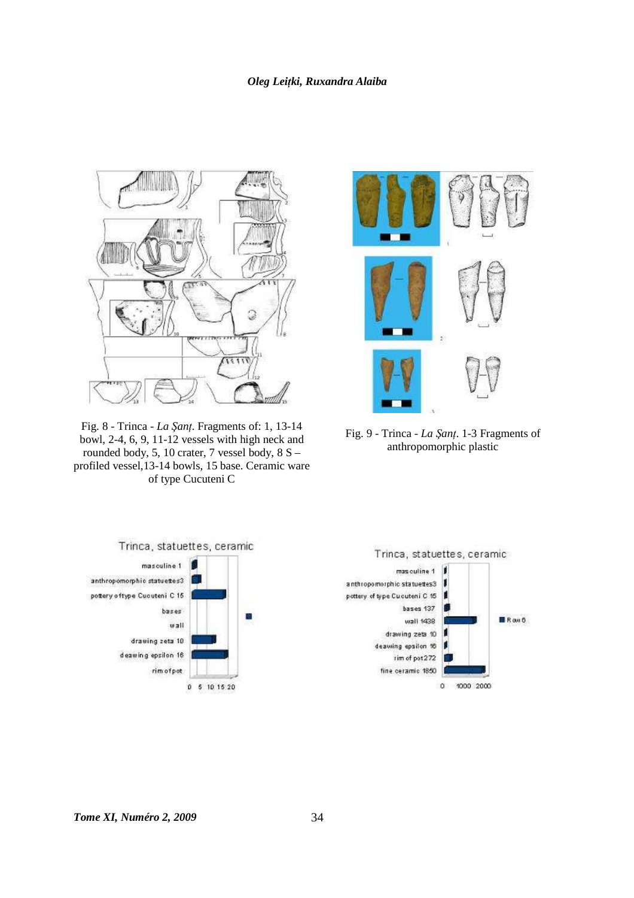# *Oleg LeiŃki, Ruxandra Alaiba*



Fig. 8 - Trinca - *La ŞanŃ*. Fragments of: 1, 13-14 bowl, 2-4, 6, 9, 11-12 vessels with high neck and rounded body, 5, 10 crater, 7 vessel body, 8 S – profiled vessel,13-14 bowls, 15 base. Ceramic ware of type Cucuteni C



Fig. 9 - Trinca - *La Şanț*. 1-3 Fragments of anthropomorphic plastic



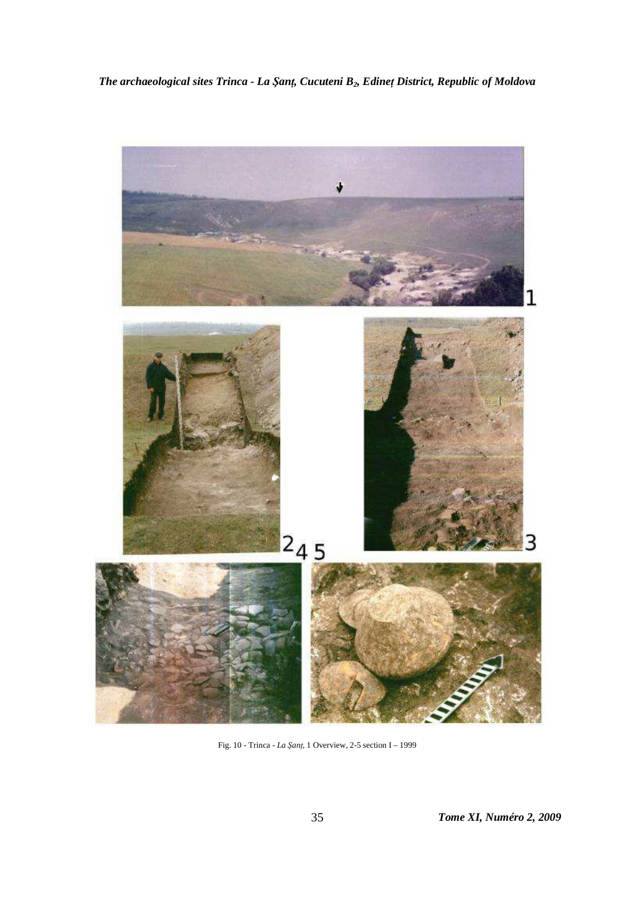*The archaeological sites Trinca - La Şanț, Cucuteni B<sub>2</sub>, Edineț District, Republic of Moldova* 



Fig. 10 - Trinca - *La ŞanŃ*, 1 Overview, 2-5 section I – 1999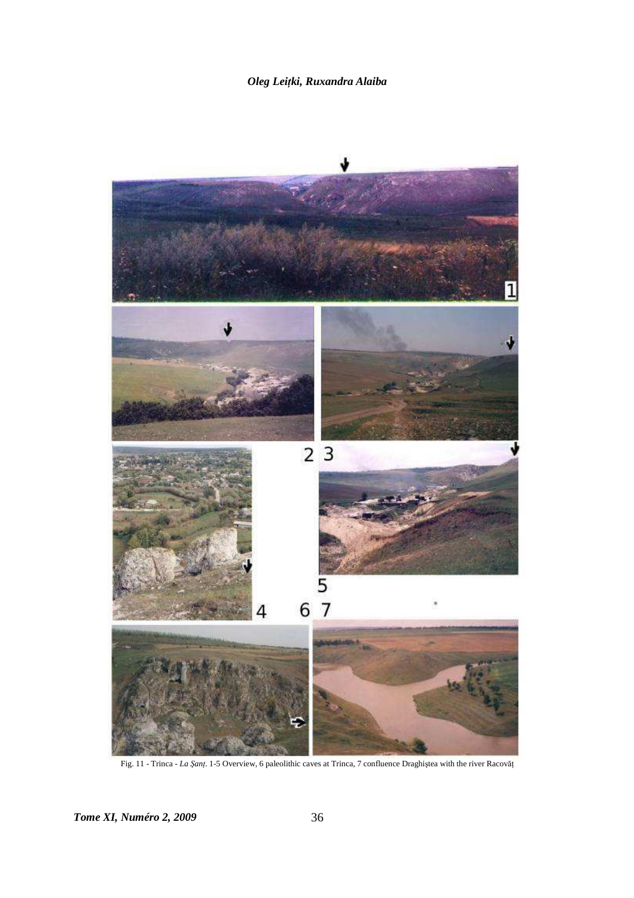

Fig. 11 - Trinca - *La Șanț*. 1-5 Overview, 6 paleolithic caves at Trinca, 7 confluence Draghiștea with the river Racovăț

*Tome XI, Numéro 2, 2009* 36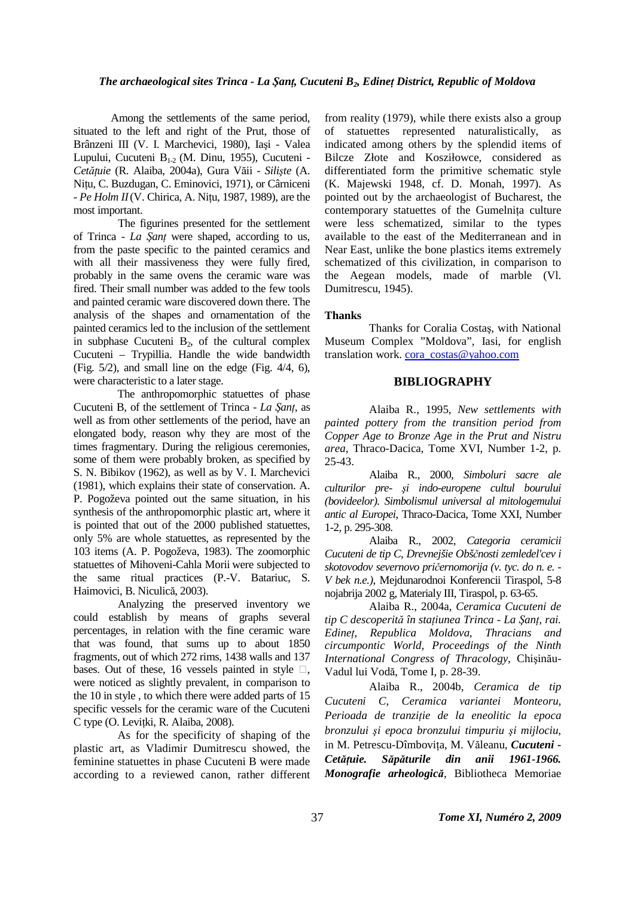Among the settlements of the same period, situated to the left and right of the Prut, those of Brânzeni III (V. I. Marchevici, 1980), Iaşi - Valea Lupului, Cucuteni  $B_{1-2}$  (M. Dinu, 1955), Cucuteni -*CetăŃuie* (R. Alaiba, 2004a), Gura Văii - *Silişte* (A. Nițu, C. Buzdugan, C. Eminovici, 1971), or Cârniceni  $- Pe$  *Holm II*(V. Chirica, A. Nitu, 1987, 1989), are the most important.

The figurines presented for the settlement of Trinca - *La ŞanŃ* were shaped, according to us, from the paste specific to the painted ceramics and with all their massiveness they were fully fired, probably in the same ovens the ceramic ware was fired. Their small number was added to the few tools and painted ceramic ware discovered down there. The analysis of the shapes and ornamentation of the painted ceramics led to the inclusion of the settlement in subphase Cucuteni  $B_2$ , of the cultural complex Cucuteni – Trypillia. Handle the wide bandwidth (Fig. 5/2), and small line on the edge (Fig. 4/4, 6), were characteristic to a later stage.

The anthropomorphic statuettes of phase Cucuteni B, of the settlement of Trinca - *La ŞanŃ*, as well as from other settlements of the period, have an elongated body, reason why they are most of the times fragmentary. During the religious ceremonies, some of them were probably broken, as specified by S. N. Bibikov (1962), as well as by V. I. Marchevici (1981), which explains their state of conservation. A. P. Pogoževa pointed out the same situation, in his synthesis of the anthropomorphic plastic art, where it is pointed that out of the 2000 published statuettes, only 5% are whole statuettes, as represented by the 103 items (A. P. Pogoževa, 1983). The zoomorphic statuettes of Mihoveni-Cahla Morii were subjected to the same ritual practices (P.-V. Batariuc, S. Haimovici, B. Niculică, 2003).

Analyzing the preserved inventory we could establish by means of graphs several percentages, in relation with the fine ceramic ware that was found, that sums up to about 1850 fragments, out of which 272 rims, 1438 walls and 137 bases. Out of these, 16 vessels painted in style  $\square$ , were noticed as slightly prevalent, in comparison to the 10 in style , to which there were added parts of 15 specific vessels for the ceramic ware of the Cucuteni C type (O. Levițki, R. Alaiba, 2008).

As for the specificity of shaping of the plastic art, as Vladimir Dumitrescu showed, the feminine statuettes in phase Cucuteni B were made according to a reviewed canon, rather different

from reality (1979), while there exists also a group of statuettes represented naturalistically, as indicated among others by the splendid items of Bilcze Złote and Kosziłowce, considered as differentiated form the primitive schematic style (K. Majewski 1948, cf. D. Monah, 1997). As pointed out by the archaeologist of Bucharest, the contemporary statuettes of the Gumelnita culture were less schematized, similar to the types available to the east of the Mediterranean and in Near East, unlike the bone plastics items extremely schematized of this civilization, in comparison to the Aegean models, made of marble (Vl. Dumitrescu, 1945).

#### **Thanks**

Thanks for Coralia Costaş, with National Museum Complex "Moldova", Iasi, for english translation work. cora\_costas@yahoo.com

#### **BIBLIOGRAPHY**

Alaiba R., 1995, *New settlements with painted pottery from the transition period from Copper Age to Bronze Age in the Prut and Nistru area*, Thraco-Dacica, Tome XVI, Number 1-2, p. 25-43.

Alaiba R., 2000, *Simboluri sacre ale culturilor pre- şi indo-europene cultul bourului (bovideelor). Simbolismul universal al mitologemului antic al Europei*, Thraco-Dacica, Tome XXI, Number 1-2, p. 295-308.

Alaiba R., 2002, *Categoria ceramicii Cucuteni de tip C*, *Drevnejšie Obščnosti zemledel'cev i skotovodov severnovo pričernomorija (v. tyc. do n. e. - V bek n.e.)*, Mejdunarodnoi Konferencii Tiraspol, 5-8 nojabrija 2002 g, Materialy III, Tiraspol, p. 63-65.

Alaiba R., 2004a, *Ceramica Cucuteni de tip* C descoperită în stațiunea Trinca - La Șanț, rai. *EdineŃ*, *Republica Moldova*, *Thracians and circumpontic World, Proceedings of the Ninth International Congress of Thracology*, Chişinău-Vadul lui Vodă, Tome I, p. 28-39.

Alaiba R., 2004b, *Ceramica de tip Cucuteni C, Ceramica variantei Monteoru, Perioada de tranziție de la eneolitic la epoca bronzului şi epoca bronzului timpuriu şi mijlociu*, in M. Petrescu-Dîmbovita, M. Văleanu, *Cucuteni -CetăŃuie. Săpăturile din anii 1961-1966. Monografie arheologică*, Bibliotheca Memoriae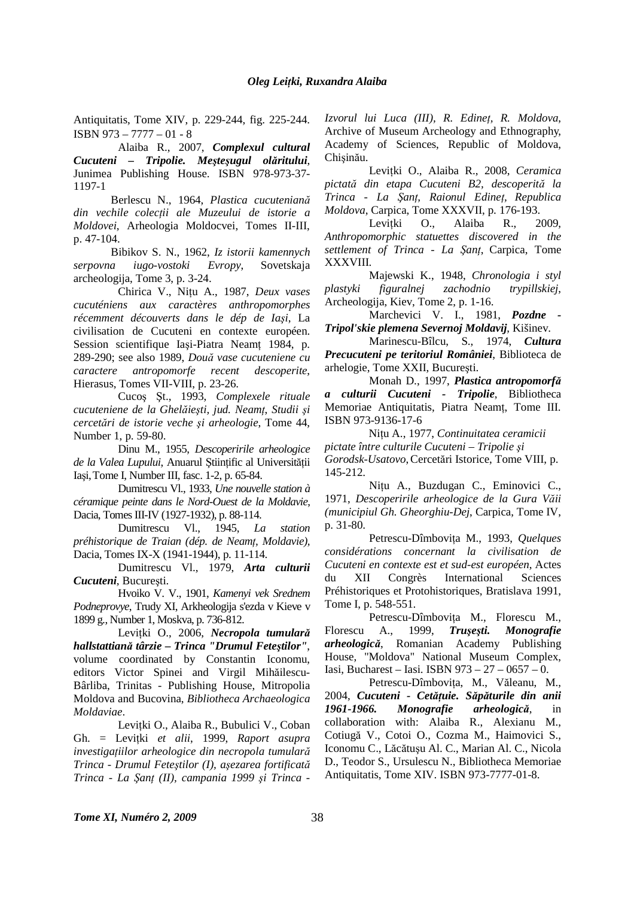Antiquitatis, Tome XIV, p. 229-244, fig. 225-244. ISBN 973 – 7777 – 01 - 8

Alaiba R., 2007, *Complexul cultural Cucuteni – Tripolie. Meşteşugul olăritului*, Junimea Publishing House. ISBN 978-973-37- 1197-1

Berlescu N., 1964, *Plastica cucuteniană*  $d$ *in vechile colecții ale Muzeului de istorie a Moldovei*, Arheologia Moldocvei, Tomes II-III, p. 47-104.

Bibikov S. N., 1962, *Iz istorii kamennych serpovna iugo-vostoki Evropy*, Sovetskaja archeologija, Tome 3, p. 3-24.

Chirica V., Nițu A., 1987, *Deux vases cucuténiens aux caractères anthropomorphes récemment découverts dans le dép de Iaşi*, La civilisation de Cucuteni en contexte européen. Session scientifique Iași-Piatra Neamț 1984, p. 289-290; see also 1989, *Două vase cucuteniene cu caractere antropomorfe recent descoperite*, Hierasus, Tomes VII-VIII, p. 23-26.

Cucoş Şt., 1993, *Complexele rituale cucuteniene de la Ghelăieşti, jud. NeamŃ*, *Studii şi cercetări de istorie veche şi arheologie*, Tome 44, Number 1, p. 59-80.

Dinu M., 1955, *Descoperirile arheologice*  de la Valea Lupului, Anuarul Științific al Universității Iaşi,Tome I, Number III, fasc. 1-2, p. 65-84.

Dumitrescu Vl., 1933, *Une nouvelle station à céramique peinte dans le Nord-Ouest de la Moldavie*, Dacia, Tomes III-IV (1927-1932), p. 88-114.

Dumitrescu Vl., 1945, *La station préhistorique de Traian (dép. de Neamț, Moldavie),* Dacia, Tomes IX-X (1941-1944), p. 11-114.

Dumitrescu Vl., 1979, *Arta culturii Cucuteni*, Bucureşti.

Hvoiko V. V., 1901, *Kamenyi vek Srednem Podneprovye*, Trudy XI, Arkheologija s'ezda v Kieve v 1899 g., Number 1, Moskva, p. 736-812.

Levițki O., 2006, *Necropola tumulară hallstattiană târzie – Trinca "Drumul Feteştilor"*, volume coordinated by Constantin Iconomu, editors Victor Spinei and Virgil Mihăilescu-Bârliba, Trinitas - Publishing House, Mitropolia Moldova and Bucovina, *Bibliotheca Archaeologica Moldaviae*.

Levițki O., Alaiba R., Bubulici V., Coban Gh. = Levițki et alii, 1999, Raport asupra  $i$ *nvestigațiilor arheologice din necropola tumulară Trinca - Drumul Feteştilor (I), aşezarea fortificată Trinca - La ŞanŃ (II), campania 1999 şi Trinca -* 

*Izvorul lui Luca (III), R. Edineț, R. Moldova,* Archive of Museum Archeology and Ethnography, Academy of Sciences, Republic of Moldova, Chişinău.

Levițki O., Alaiba R., 2008, Ceramica *pictată din etapa Cucuteni B2, descoperită la Trinca - La ŞanŃ, Raionul EdineŃ, Republica Moldova*, Carpica, Tome XXXVII, p. 176-193.

Levitki O., Alaiba R., 2009, *Anthropomorphic statuettes discovered in the settlement of Trinca - La Şanț, Carpica, Tome* XXXVIII.

Majewski K., 1948, *Chronologia i styl plastyki figuralnej zachodnio trypillskiej*, Archeologija, Kiev, Tome 2, p. 1-16.

Marchevici V. I., 1981, *Pozdne - Tripol'skie plemena Severnoj Moldavij*, Kišinev.

Marinescu-Bîlcu, S., 1974, *Cultura Precucuteni pe teritoriul României*, Biblioteca de arhelogie, Tome XXII, Bucureşti.

Monah D., 1997, *Plastica antropomorfă a culturii Cucuteni - Tripolie*, Bibliotheca Memoriae Antiquitatis, Piatra Neamț, Tome III. ISBN 973-9136-17-6

Nițu A., 1977, *Continuitatea ceramicii pictate între culturile Cucuteni – Tripolie şi Gorodsk-Usatovo*,Cercetări Istorice, Tome VIII, p. 145-212.

Nițu A., Buzdugan C., Eminovici C., 1971, *Descoperirile arheologice de la Gura Văii (municipiul Gh. Gheorghiu-Dej*, Carpica, Tome IV, p. 31-80.

Petrescu-Dîmbovița M., 1993, Quelques *considérations concernant la civilisation de Cucuteni en contexte est et sud-est européen*, Actes du XII Congrès International Sciences Préhistoriques et Protohistoriques, Bratislava 1991, Tome I, p. 548-551.

Petrescu-Dîmbovița M., Florescu M., Florescu A., 1999, *Truşeşti. Monografie arheologică*, Romanian Academy Publishing House, "Moldova" National Museum Complex, Iasi, Bucharest – Iasi. ISBN 973 – 27 – 0657 – 0.

Petrescu-Dîmbovița, M., Văleanu, M., 2004, *Cucuteni - Cetățuie. Săpăturile din anii 1961-1966. Monografie arheologică*, in collaboration with: Alaiba R., Alexianu M., Cotiugă V., Cotoi O., Cozma M., Haimovici S., Iconomu C., Lăcătuşu Al. C., Marian Al. C., Nicola D., Teodor S., Ursulescu N., Bibliotheca Memoriae Antiquitatis, Tome XIV. ISBN 973-7777-01-8.